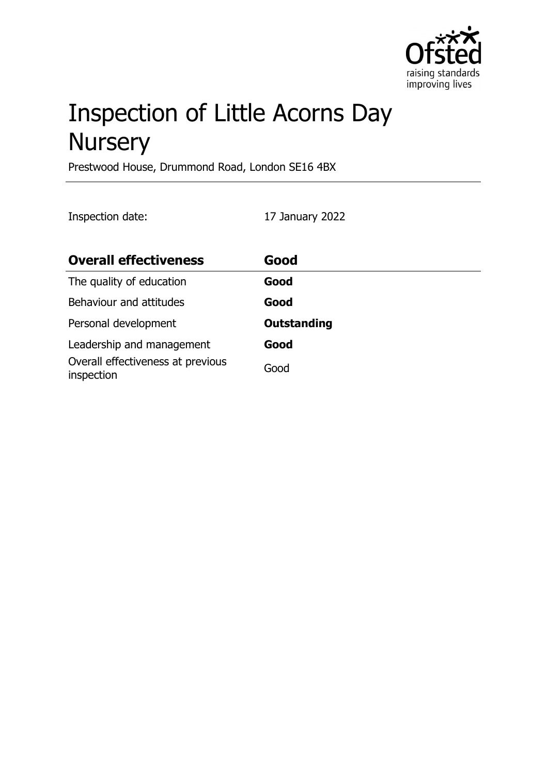

# Inspection of Little Acorns Day **Nursery**

Prestwood House, Drummond Road, London SE16 4BX

Inspection date: 17 January 2022

| <b>Overall effectiveness</b>                    | Good               |
|-------------------------------------------------|--------------------|
| The quality of education                        | Good               |
| Behaviour and attitudes                         | Good               |
| Personal development                            | <b>Outstanding</b> |
| Leadership and management                       | Good               |
| Overall effectiveness at previous<br>inspection | Good               |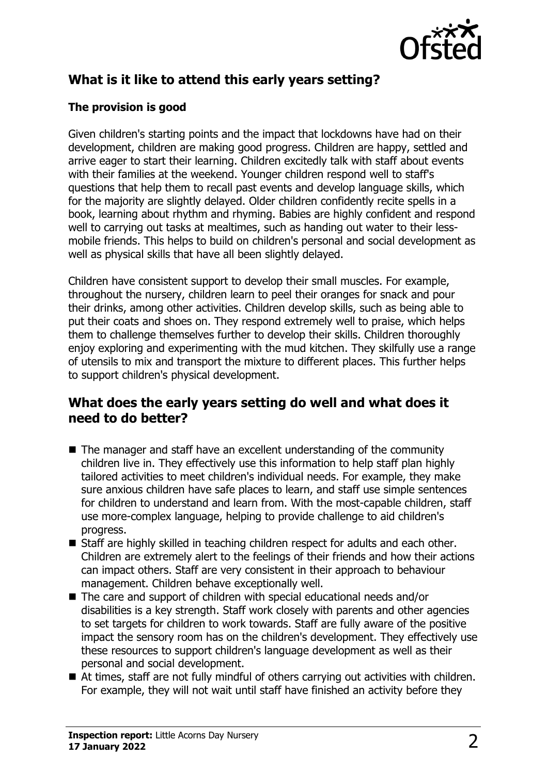

# **What is it like to attend this early years setting?**

#### **The provision is good**

Given children's starting points and the impact that lockdowns have had on their development, children are making good progress. Children are happy, settled and arrive eager to start their learning. Children excitedly talk with staff about events with their families at the weekend. Younger children respond well to staff's questions that help them to recall past events and develop language skills, which for the majority are slightly delayed. Older children confidently recite spells in a book, learning about rhythm and rhyming. Babies are highly confident and respond well to carrying out tasks at mealtimes, such as handing out water to their lessmobile friends. This helps to build on children's personal and social development as well as physical skills that have all been slightly delayed.

Children have consistent support to develop their small muscles. For example, throughout the nursery, children learn to peel their oranges for snack and pour their drinks, among other activities. Children develop skills, such as being able to put their coats and shoes on. They respond extremely well to praise, which helps them to challenge themselves further to develop their skills. Children thoroughly enjoy exploring and experimenting with the mud kitchen. They skilfully use a range of utensils to mix and transport the mixture to different places. This further helps to support children's physical development.

## **What does the early years setting do well and what does it need to do better?**

- $\blacksquare$  The manager and staff have an excellent understanding of the community children live in. They effectively use this information to help staff plan highly tailored activities to meet children's individual needs. For example, they make sure anxious children have safe places to learn, and staff use simple sentences for children to understand and learn from. With the most-capable children, staff use more-complex language, helping to provide challenge to aid children's progress.
- $\blacksquare$  Staff are highly skilled in teaching children respect for adults and each other. Children are extremely alert to the feelings of their friends and how their actions can impact others. Staff are very consistent in their approach to behaviour management. Children behave exceptionally well.
- $\blacksquare$  The care and support of children with special educational needs and/or disabilities is a key strength. Staff work closely with parents and other agencies to set targets for children to work towards. Staff are fully aware of the positive impact the sensory room has on the children's development. They effectively use these resources to support children's language development as well as their personal and social development.
- $\blacksquare$  At times, staff are not fully mindful of others carrying out activities with children. For example, they will not wait until staff have finished an activity before they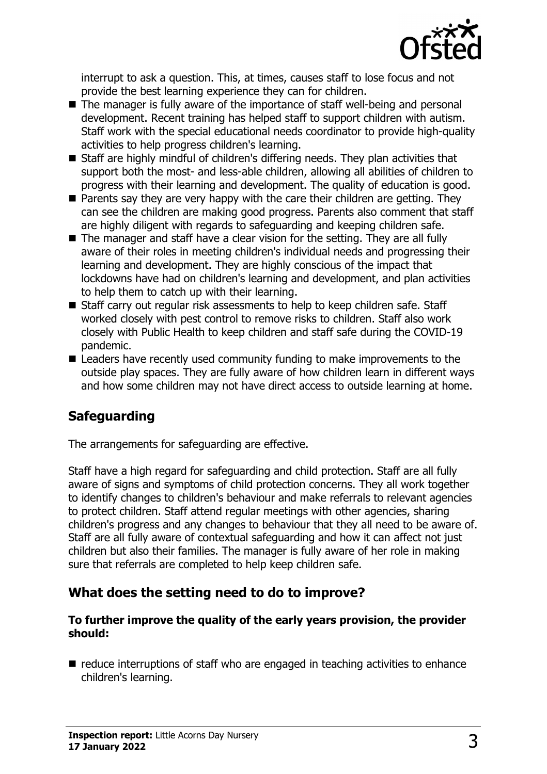

interrupt to ask a question. This, at times, causes staff to lose focus and not provide the best learning experience they can for children.

- $\blacksquare$  The manager is fully aware of the importance of staff well-being and personal development. Recent training has helped staff to support children with autism. Staff work with the special educational needs coordinator to provide high-quality activities to help progress children's learning.
- $\blacksquare$  Staff are highly mindful of children's differing needs. They plan activities that support both the most- and less-able children, allowing all abilities of children to progress with their learning and development. The quality of education is good.
- $\blacksquare$  Parents say they are very happy with the care their children are getting. They can see the children are making good progress. Parents also comment that staff are highly diligent with regards to safeguarding and keeping children safe.
- $\blacksquare$  The manager and staff have a clear vision for the setting. They are all fully aware of their roles in meeting children's individual needs and progressing their learning and development. They are highly conscious of the impact that lockdowns have had on children's learning and development, and plan activities to help them to catch up with their learning.
- Staff carry out regular risk assessments to help to keep children safe. Staff worked closely with pest control to remove risks to children. Staff also work closely with Public Health to keep children and staff safe during the COVID-19 pandemic.
- $\blacksquare$  Leaders have recently used community funding to make improvements to the outside play spaces. They are fully aware of how children learn in different ways and how some children may not have direct access to outside learning at home.

## **Safeguarding**

The arrangements for safeguarding are effective.

Staff have a high regard for safeguarding and child protection. Staff are all fully aware of signs and symptoms of child protection concerns. They all work together to identify changes to children's behaviour and make referrals to relevant agencies to protect children. Staff attend regular meetings with other agencies, sharing children's progress and any changes to behaviour that they all need to be aware of. Staff are all fully aware of contextual safeguarding and how it can affect not just children but also their families. The manager is fully aware of her role in making sure that referrals are completed to help keep children safe.

## **What does the setting need to do to improve?**

#### **To further improve the quality of the early years provision, the provider should:**

 $\blacksquare$  reduce interruptions of staff who are engaged in teaching activities to enhance children's learning.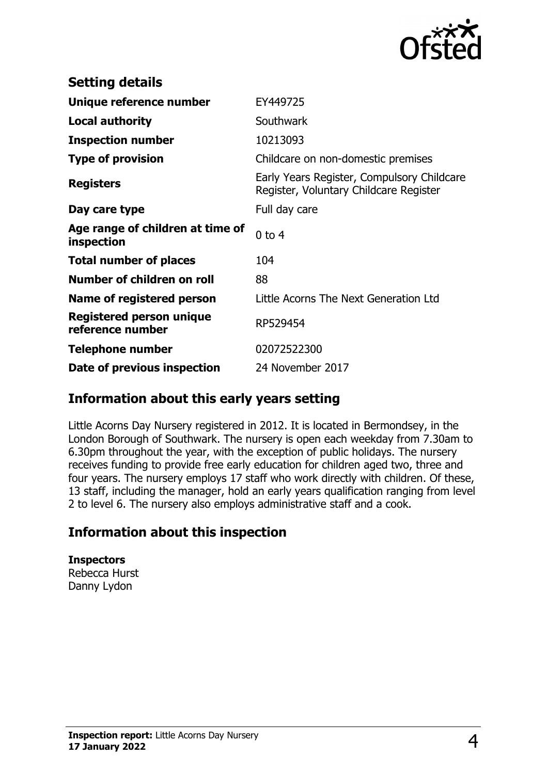

| <b>Setting details</b>                         |                                                                                      |
|------------------------------------------------|--------------------------------------------------------------------------------------|
| Unique reference number                        | EY449725                                                                             |
| Local authority                                | Southwark                                                                            |
| <b>Inspection number</b>                       | 10213093                                                                             |
| <b>Type of provision</b>                       | Childcare on non-domestic premises                                                   |
| <b>Registers</b>                               | Early Years Register, Compulsory Childcare<br>Register, Voluntary Childcare Register |
| Day care type                                  | Full day care                                                                        |
| Age range of children at time of<br>inspection | $0$ to $4$                                                                           |
| <b>Total number of places</b>                  | 104                                                                                  |
| Number of children on roll                     | 88                                                                                   |
| Name of registered person                      | Little Acorns The Next Generation Ltd                                                |
| Registered person unique<br>reference number   | RP529454                                                                             |
| Telephone number                               | 02072522300                                                                          |
| Date of previous inspection                    | 24 November 2017                                                                     |

## **Information about this early years setting**

Little Acorns Day Nursery registered in 2012. It is located in Bermondsey, in the London Borough of Southwark. The nursery is open each weekday from 7.30am to 6.30pm throughout the year, with the exception of public holidays. The nursery receives funding to provide free early education for children aged two, three and four years. The nursery employs 17 staff who work directly with children. Of these, 13 staff, including the manager, hold an early years qualification ranging from level 2 to level 6. The nursery also employs administrative staff and a cook.

## **Information about this inspection**

**Inspectors** Rebecca Hurst Danny Lydon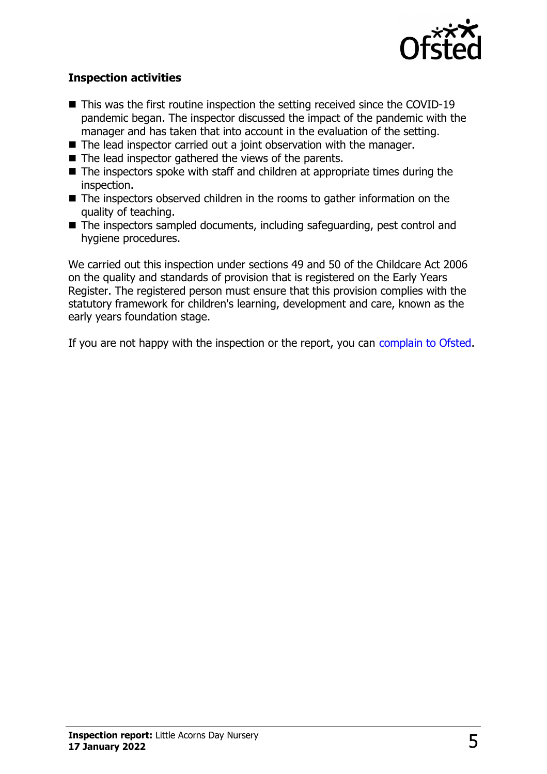

#### **Inspection activities**

- $\blacksquare$  This was the first routine inspection the setting received since the COVID-19 pandemic began. The inspector discussed the impact of the pandemic with the manager and has taken that into account in the evaluation of the setting.
- The lead inspector carried out a joint observation with the manager.
- $\blacksquare$  The lead inspector gathered the views of the parents.
- $\blacksquare$  The inspectors spoke with staff and children at appropriate times during the inspection.
- $\blacksquare$  The inspectors observed children in the rooms to gather information on the quality of teaching.
- $\blacksquare$  The inspectors sampled documents, including safeguarding, pest control and hygiene procedures.

We carried out this inspection under sections 49 and 50 of the Childcare Act 2006 on the quality and standards of provision that is registered on the Early Years Register. The registered person must ensure that this provision complies with the statutory framework for children's learning, development and care, known as the early years foundation stage.

If you are not happy with the inspection or the report, you can [complain to Ofsted](http://www.gov.uk/complain-ofsted-report).